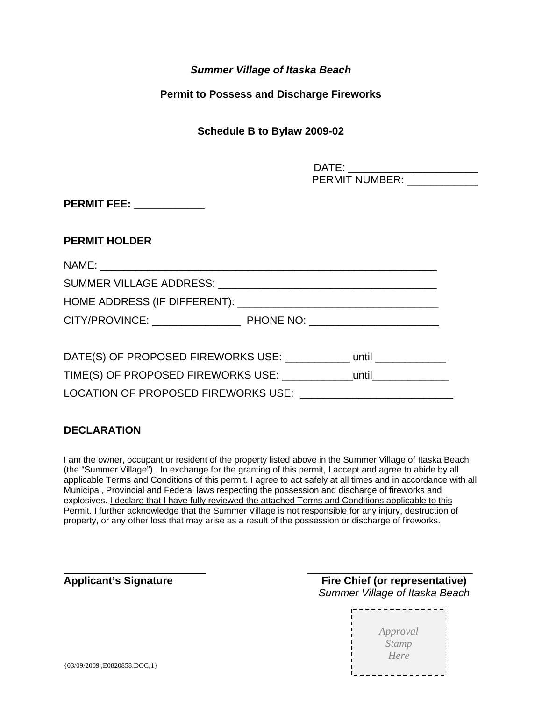# *Summer Village of Itaska Beach*

## **Permit to Possess and Discharge Fireworks**

# **Schedule B to Bylaw 2009-02**

| DATE: |                       |  |
|-------|-----------------------|--|
|       | <b>PERMIT NUMBER:</b> |  |

**PERMIT FEE:** 

### **PERMIT HOLDER**

| DATE(S) OF PROPOSED FIREWORKS USE: ___________ until ___________ |  |
|------------------------------------------------------------------|--|
|                                                                  |  |
| LOCATION OF PROPOSED FIREWORKS USE:                              |  |

# **DECLARATION**

I am the owner, occupant or resident of the property listed above in the Summer Village of Itaska Beach (the "Summer Village"). In exchange for the granting of this permit, I accept and agree to abide by all applicable Terms and Conditions of this permit. I agree to act safely at all times and in accordance with all Municipal, Provincial and Federal laws respecting the possession and discharge of fireworks and explosives. I declare that I have fully reviewed the attached Terms and Conditions applicable to this Permit. I further acknowledge that the Summer Village is not responsible for any injury, destruction of property, or any other loss that may arise as a result of the possession or discharge of fireworks.

 $\overline{\phantom{a}}$  , and the contract of the contract of the contract of the contract of the contract of the contract of the contract of the contract of the contract of the contract of the contract of the contract of the contrac

Applicant's Signature **Fire Chief (or representative)** *Summer Village of Itaska Beach*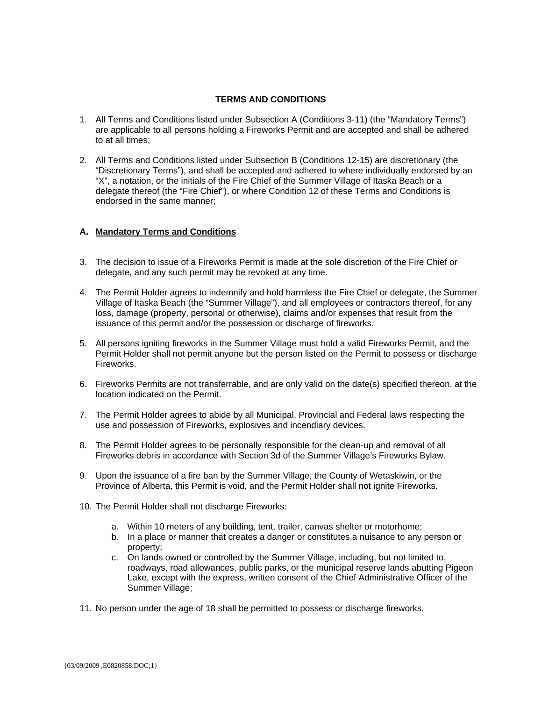### **TERMS AND CONDITIONS**

- 1. All Terms and Conditions listed under Subsection A (Conditions 3-11) (the "Mandatory Terms") are applicable to all persons holding a Fireworks Permit and are accepted and shall be adhered to at all times;
- 2. All Terms and Conditions listed under Subsection B (Conditions 12-15) are discretionary (the "Discretionary Terms"), and shall be accepted and adhered to where individually endorsed by an "X", a notation, or the initials of the Fire Chief of the Summer Village of Itaska Beach or a delegate thereof (the "Fire Chief"), or where Condition 12 of these Terms and Conditions is endorsed in the same manner;

#### **A. Mandatory Terms and Conditions**

- 3. The decision to issue of a Fireworks Permit is made at the sole discretion of the Fire Chief or delegate, and any such permit may be revoked at any time.
- 4. The Permit Holder agrees to indemnify and hold harmless the Fire Chief or delegate, the Summer Village of Itaska Beach (the "Summer Village"), and all employees or contractors thereof, for any loss, damage (property, personal or otherwise), claims and/or expenses that result from the issuance of this permit and/or the possession or discharge of fireworks.
- 5. All persons igniting fireworks in the Summer Village must hold a valid Fireworks Permit, and the Permit Holder shall not permit anyone but the person listed on the Permit to possess or discharge Fireworks.
- 6. Fireworks Permits are not transferrable, and are only valid on the date(s) specified thereon, at the location indicated on the Permit.
- 7. The Permit Holder agrees to abide by all Municipal, Provincial and Federal laws respecting the use and possession of Fireworks, explosives and incendiary devices.
- 8. The Permit Holder agrees to be personally responsible for the clean-up and removal of all Fireworks debris in accordance with Section 3d of the Summer Village's Fireworks Bylaw.
- 9. Upon the issuance of a fire ban by the Summer Village, the County of Wetaskiwin, or the Province of Alberta, this Permit is void, and the Permit Holder shall not ignite Fireworks.
- 10. The Permit Holder shall not discharge Fireworks:
	- a. Within 10 meters of any building, tent, trailer, canvas shelter or motorhome;
	- b. In a place or manner that creates a danger or constitutes a nuisance to any person or property;
	- c. On lands owned or controlled by the Summer Village, including, but not limited to, roadways, road allowances, public parks, or the municipal reserve lands abutting Pigeon Lake, except with the express, written consent of the Chief Administrative Officer of the Summer Village;
- 11. No person under the age of 18 shall be permitted to possess or discharge fireworks.